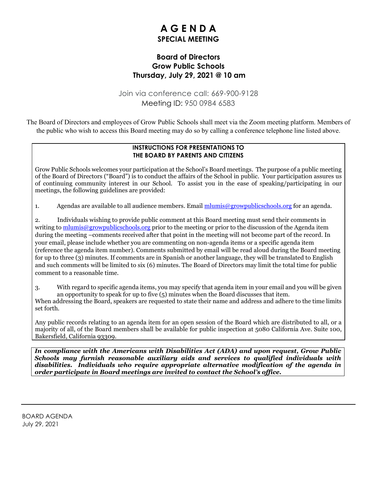# **A G E N D A SPECIAL MEETING**

## **Board of Directors Grow Public Schools Thursday, July 29, 2021 @ 10 am**

Join via conference call: 669-900-9128 Meeting ID: 950 0984 6583

The Board of Directors and employees of Grow Public Schools shall meet via the Zoom meeting platform. Members of the public who wish to access this Board meeting may do so by calling a conference telephone line listed above.

### **INSTRUCTIONS FOR PRESENTATIONS TO THE BOARD BY PARENTS AND CITIZENS**

Grow Public Schools welcomes your participation at the School's Board meetings. The purpose of a public meeting of the Board of Directors ("Board") is to conduct the affairs of the School in public. Your participation assures us of continuing community interest in our School. To assist you in the ease of speaking/participating in our meetings, the following guidelines are provided:

1. Agendas are available to all audience members. Email [mlumis@growpublicschools.org](mailto:mlumis@growpublicschools.org) for an agenda.

2. Individuals wishing to provide public comment at this Board meeting must send their comments in writing to  $\frac{m \text{lumis}\omega}{\text{grow} \text{public}}$  schools.org prior to the meeting or prior to the discussion of the Agenda item during the meeting –comments received after that point in the meeting will not become part of the record. In your email, please include whether you are commenting on non-agenda items or a specific agenda item (reference the agenda item number). Comments submitted by email will be read aloud during the Board meeting for up to three (3) minutes. If comments are in Spanish or another language, they will be translated to English and such comments will be limited to six (6) minutes. The Board of Directors may limit the total time for public comment to a reasonable time.

3. With regard to specific agenda items, you may specify that agenda item in your email and you will be given an opportunity to speak for up to five (5) minutes when the Board discusses that item.

When addressing the Board, speakers are requested to state their name and address and adhere to the time limits set forth.

Any public records relating to an agenda item for an open session of the Board which are distributed to all, or a majority of all, of the Board members shall be available for public inspection at 5080 California Ave. Suite 100, Bakersfield, California 93309.

*In compliance with the Americans with Disabilities Act (ADA) and upon request, Grow Public Schools may furnish reasonable auxiliary aids and services to qualified individuals with disabilities. Individuals who require appropriate alternative modification of the agenda in order participate in Board meetings are invited to contact the School's office.*

BOARD AGENDA July 29, 2021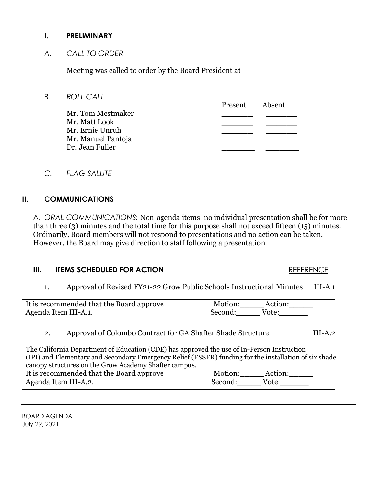## **I. PRELIMINARY**

*A. CALL TO ORDER*

Meeting was called to order by the Board President at \_\_\_\_\_\_\_\_\_\_\_\_\_\_\_\_\_\_\_\_\_\_\_\_\_\_

Present Absent

*B. ROLL CALL*

Mr. Tom Mestmaker **\_\_\_\_\_\_ \_\_\_\_\_\_** Mr. Matt Look **\_\_\_\_\_\_ \_\_\_\_\_\_** Mr. Ernie Unruh **\_\_\_\_\_\_ \_\_\_\_\_\_** Mr. Manuel Pantoja **\_\_\_\_\_\_ \_\_\_\_\_\_** Dr. Jean Fuller

*C. FLAG SALUTE*

## **II. COMMUNICATIONS**

A. *ORAL COMMUNICATIONS:* Non-agenda items: no individual presentation shall be for more than three (3) minutes and the total time for this purpose shall not exceed fifteen (15) minutes. Ordinarily, Board members will not respond to presentations and no action can be taken. However, the Board may give direction to staff following a presentation.

## **III. ITEMS SCHEDULED FOR ACTION** REFERENCE

# 1. Approval of Revised FY21-22 Grow Public Schools Instructional Minutes III-A.1

| It is recommended that the Board approve | Motion: | Action: |
|------------------------------------------|---------|---------|
| Agenda Item III-A.1.                     | Second: | Vote:   |

## 2. Approval of Colombo Contract for GA Shafter Shade Structure III-A.2

The California Department of Education (CDE) has approved the use of In-Person Instruction (IPI) and Elementary and Secondary Emergency Relief (ESSER) funding for the installation of six shade canopy structures on the Grow Academy Shafter campus.

| It is recommended that the Board approve | Motion:<br>Action: |
|------------------------------------------|--------------------|
| Agenda Item III-A.2.                     | Vote:<br>Second:   |

BOARD AGENDA July 29, 2021